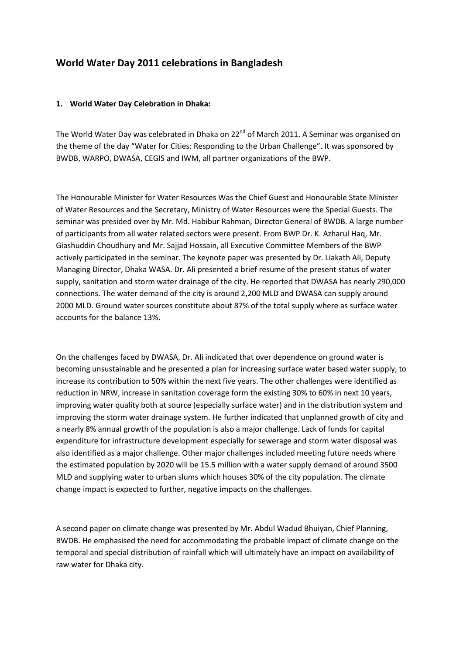## **World Water Day 2011 celebrations in Bangladesh**

## **1. World Water Day Celebration in Dhaka:**

The World Water Day was celebrated in Dhaka on 22<sup>nd</sup> of March 2011. A Seminar was organised on the theme of the day "Water for Cities: Responding to the Urban Challenge". It was sponsored by BWDB, WARPO, DWASA, CEGIS and IWM, all partner organizations of the BWP.

The Honourable Minister for Water Resources Was the Chief Guest and Honourable State Minister of Water Resources and the Secretary, Ministry of Water Resources were the Special Guests. The seminar was presided over by Mr. Md. Habibur Rahman, Director General of BWDB. A large number of participants from all water related sectors were present. From BWP Dr. K. Azharul Haq, Mr. Giashuddin Choudhury and Mr. Sajjad Hossain, all Executive Committee Members of the BWP actively participated in the seminar. The keynote paper was presented by Dr. Liakath Ali, Deputy Managing Director, Dhaka WASA. Dr. Ali presented a brief resume of the present status of water supply, sanitation and storm water drainage of the city. He reported that DWASA has nearly 290,000 connections. The water demand of the city is around 2,200 MLD and DWASA can supply around 2000 MLD. Ground water sources constitute about 87% of the total supply where as surface water accounts for the balance 13%.

On the challenges faced by DWASA, Dr. Ali indicated that over dependence on ground water is becoming unsustainable and he presented a plan for increasing surface water based water supply, to increase its contribution to 50% within the next five years. The other challenges were identified as reduction in NRW, increase in sanitation coverage form the existing 30% to 60% in next 10 years, improving water quality both at source (especially surface water) and in the distribution system and improving the storm water drainage system. He further indicated that unplanned growth of city and a nearly 8% annual growth of the population is also a major challenge. Lack of funds for capital expenditure for infrastructure development especially for sewerage and storm water disposal was also identified as a major challenge. Other major challenges included meeting future needs where the estimated population by 2020 will be 15.5 million with a water supply demand of around 3500 MLD and supplying water to urban slums which houses 30% of the city population. The climate change impact is expected to further, negative impacts on the challenges.

A second paper on climate change was presented by Mr. Abdul Wadud Bhuiyan, Chief Planning, BWDB. He emphasised the need for accommodating the probable impact of climate change on the temporal and special distribution of rainfall which will ultimately have an impact on availability of raw water for Dhaka city.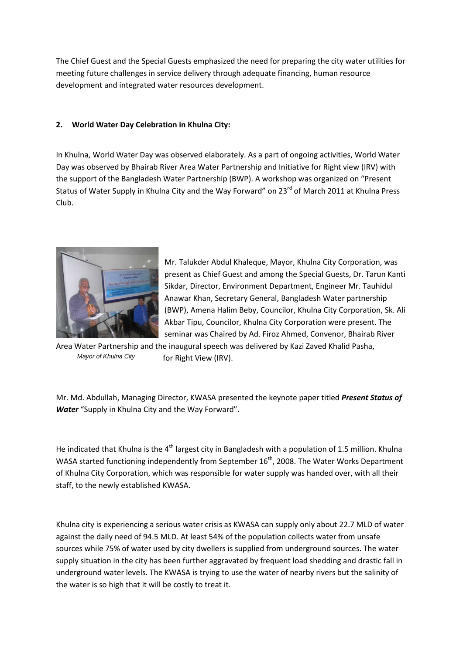The Chief Guest and the Special Guests emphasized the need for preparing the city water utilities for meeting future challenges in service delivery through adequate financing, human resource development and integrated water resources development.

## **2. World Water Day Celebration in Khulna City:**

In Khulna, World Water Day was observed elaborately. As a part of ongoing activities, World Water Day was observed by Bhairab River Area Water Partnership and Initiative for Right view (IRV) with the support of the Bangladesh Water Partnership (BWP). A workshop was organized on "Present Status of Water Supply in Khulna City and the Way Forward" on 23<sup>rd</sup> of March 2011 at Khulna Press Club.



Mr. Talukder Abdul Khaleque, Mayor, Khulna City Corporation, was present as Chief Guest and among the Special Guests, Dr. Tarun Kanti Sikdar, Director, Environment Department, Engineer Mr. Tauhidul Anawar Khan, Secretary General, Bangladesh Water partnership (BWP), Amena Halim Beby, Councilor, Khulna City Corporation, Sk. Ali Akbar Tipu, Councilor, Khulna City Corporation were present. The seminar was Chaired by Ad. Firoz Ahmed, Convenor, Bhairab River

Area Water Partnership and the inaugural speech was delivered by Kazi Zaved Khalid Pasha, for Right View (IRV). *Mayor of Khulna City*

Mr. Md. Abdullah, Managing Director, KWASA presented the keynote paper titled *Present Status of Water* "Supply in Khulna City and the Way Forward".

He indicated that Khulna is the 4<sup>th</sup> largest city in Bangladesh with a population of 1.5 million. Khulna WASA started functioning independently from September  $16<sup>th</sup>$ , 2008. The Water Works Department of Khulna City Corporation, which was responsible for water supply was handed over, with all their staff, to the newly established KWASA.

Khulna city is experiencing a serious water crisis as KWASA can supply only about 22.7 MLD of water against the daily need of 94.5 MLD. At least 54% of the population collects water from unsafe sources while 75% of water used by city dwellers is supplied from underground sources. The water supply situation in the city has been further aggravated by frequent load shedding and drastic fall in underground water levels. The KWASA is trying to use the water of nearby rivers but the salinity of the water is so high that it will be costly to treat it.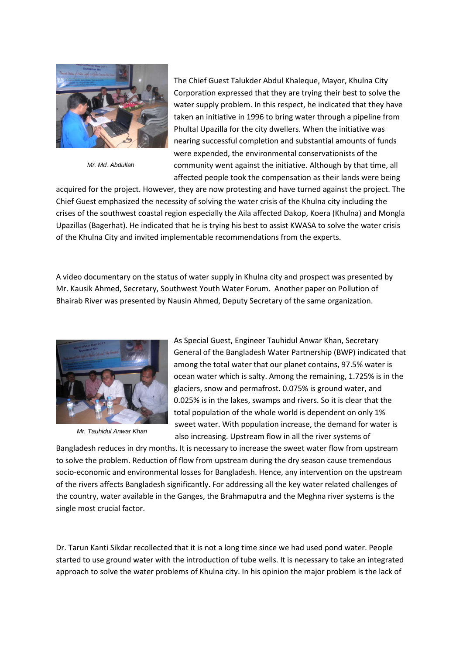

*Mr. Md. Abdullah*

The Chief Guest Talukder Abdul Khaleque, Mayor, Khulna City Corporation expressed that they are trying their best to solve the water supply problem. In this respect, he indicated that they have taken an initiative in 1996 to bring water through a pipeline from Phultal Upazilla for the city dwellers. When the initiative was nearing successful completion and substantial amounts of funds were expended, the environmental conservationists of the community went against the initiative. Although by that time, all affected people took the compensation as their lands were being

acquired for the project. However, they are now protesting and have turned against the project. The Chief Guest emphasized the necessity of solving the water crisis of the Khulna city including the crises of the southwest coastal region especially the Aila affected Dakop, Koera (Khulna) and Mongla Upazillas (Bagerhat). He indicated that he is trying his best to assist KWASA to solve the water crisis of the Khulna City and invited implementable recommendations from the experts.

A video documentary on the status of water supply in Khulna city and prospect was presented by Mr. Kausik Ahmed, Secretary, Southwest Youth Water Forum. Another paper on Pollution of Bhairab River was presented by Nausin Ahmed, Deputy Secretary of the same organization.



*Mr. Tauhidul Anwar Khan*

As Special Guest, Engineer Tauhidul Anwar Khan, Secretary General of the Bangladesh Water Partnership (BWP) indicated that among the total water that our planet contains, 97.5% water is ocean water which is salty. Among the remaining, 1.725% is in the glaciers, snow and permafrost. 0.075% is ground water, and 0.025% is in the lakes, swamps and rivers. So it is clear that the total population of the whole world is dependent on only 1% sweet water. With population increase, the demand for water is also increasing. Upstream flow in all the river systems of

Bangladesh reduces in dry months. It is necessary to increase the sweet water flow from upstream to solve the problem. Reduction of flow from upstream during the dry season cause tremendous socio-economic and environmental losses for Bangladesh. Hence, any intervention on the upstream of the rivers affects Bangladesh significantly. For addressing all the key water related challenges of the country, water available in the Ganges, the Brahmaputra and the Meghna river systems is the single most crucial factor.

Dr. Tarun Kanti Sikdar recollected that it is not a long time since we had used pond water. People started to use ground water with the introduction of tube wells. It is necessary to take an integrated approach to solve the water problems of Khulna city. In his opinion the major problem is the lack of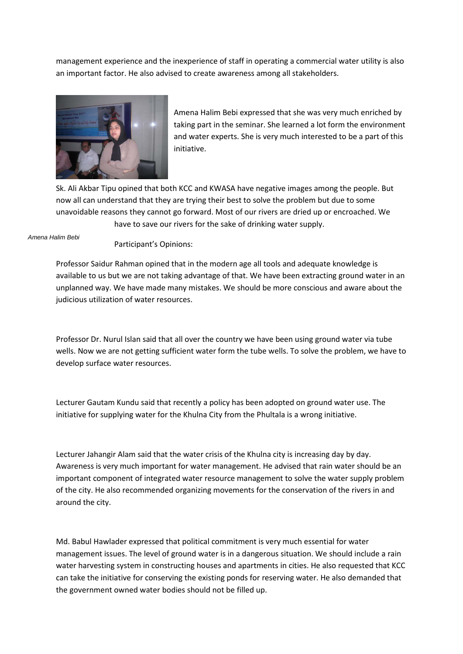management experience and the inexperience of staff in operating a commercial water utility is also an important factor. He also advised to create awareness among all stakeholders.



Amena Halim Bebi expressed that she was very much enriched by taking part in the seminar. She learned a lot form the environment and water experts. She is very much interested to be a part of this initiative.

Sk. Ali Akbar Tipu opined that both KCC and KWASA have negative images among the people. But now all can understand that they are trying their best to solve the problem but due to some unavoidable reasons they cannot go forward. Most of our rivers are dried up or encroached. We have to save our rivers for the sake of drinking water supply.

*Amena Halim Bebi*

Participant's Opinions:

Professor Saidur Rahman opined that in the modern age all tools and adequate knowledge is available to us but we are not taking advantage of that. We have been extracting ground water in an unplanned way. We have made many mistakes. We should be more conscious and aware about the judicious utilization of water resources.

Professor Dr. Nurul Islan said that all over the country we have been using ground water via tube wells. Now we are not getting sufficient water form the tube wells. To solve the problem, we have to develop surface water resources.

Lecturer Gautam Kundu said that recently a policy has been adopted on ground water use. The initiative for supplying water for the Khulna City from the Phultala is a wrong initiative.

Lecturer Jahangir Alam said that the water crisis of the Khulna city is increasing day by day. Awareness is very much important for water management. He advised that rain water should be an important component of integrated water resource management to solve the water supply problem of the city. He also recommended organizing movements for the conservation of the rivers in and around the city.

Md. Babul Hawlader expressed that political commitment is very much essential for water management issues. The level of ground water is in a dangerous situation. We should include a rain water harvesting system in constructing houses and apartments in cities. He also requested that KCC can take the initiative for conserving the existing ponds for reserving water. He also demanded that the government owned water bodies should not be filled up.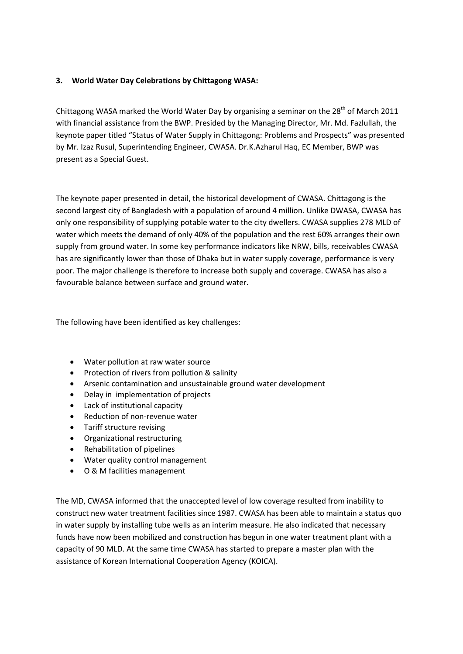## **3. World Water Day Celebrations by Chittagong WASA:**

Chittagong WASA marked the World Water Day by organising a seminar on the 28<sup>th</sup> of March 2011 with financial assistance from the BWP. Presided by the Managing Director, Mr. Md. Fazlullah, the keynote paper titled "Status of Water Supply in Chittagong: Problems and Prospects" was presented by Mr. Izaz Rusul, Superintending Engineer, CWASA. Dr.K.Azharul Haq, EC Member, BWP was present as a Special Guest.

The keynote paper presented in detail, the historical development of CWASA. Chittagong is the second largest city of Bangladesh with a population of around 4 million. Unlike DWASA, CWASA has only one responsibility of supplying potable water to the city dwellers. CWASA supplies 278 MLD of water which meets the demand of only 40% of the population and the rest 60% arranges their own supply from ground water. In some key performance indicators like NRW, bills, receivables CWASA has are significantly lower than those of Dhaka but in water supply coverage, performance is very poor. The major challenge is therefore to increase both supply and coverage. CWASA has also a favourable balance between surface and ground water.

The following have been identified as key challenges:

- Water pollution at raw water source
- Protection of rivers from pollution & salinity
- Arsenic contamination and unsustainable ground water development
- Delay in implementation of projects
- Lack of institutional capacity
- Reduction of non-revenue water
- Tariff structure revising
- Organizational restructuring
- Rehabilitation of pipelines
- Water quality control management
- O & M facilities management

The MD, CWASA informed that the unaccepted level of low coverage resulted from inability to construct new water treatment facilities since 1987. CWASA has been able to maintain a status quo in water supply by installing tube wells as an interim measure. He also indicated that necessary funds have now been mobilized and construction has begun in one water treatment plant with a capacity of 90 MLD. At the same time CWASA has started to prepare a master plan with the assistance of Korean International Cooperation Agency (KOICA).